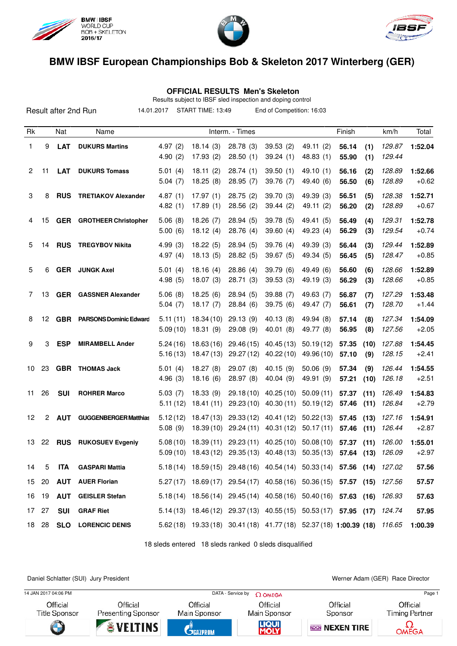





 **OFFICIAL RESULTS Men's Skeleton**

Results subject to IBSF sled inspection and doping control

|                |    | Result after 2nd Run |                               | 14.01.2017           | START TIME: 13:49       |                         | End of Competition: 16:03                                                                                                                  |                         |                |              |                  |                    |
|----------------|----|----------------------|-------------------------------|----------------------|-------------------------|-------------------------|--------------------------------------------------------------------------------------------------------------------------------------------|-------------------------|----------------|--------------|------------------|--------------------|
| Rk             |    | Nat                  | Name                          |                      |                         | Interm. - Times         |                                                                                                                                            |                         | Finish         |              | km/h             | Total              |
| 1              | 9  | <b>LAT</b>           | <b>DUKURS Martins</b>         | 4.97(2)<br>4.90(2)   | 18.14(3)<br>17.93(2)    | 28.78 (3)<br>28.50(1)   | 39.53(2)<br>39.24(1)                                                                                                                       | 49.11 (2)<br>48.83(1)   | 56.14<br>55.90 | (1)<br>(1)   | 129.87<br>129.44 | 1:52.04            |
| $\overline{2}$ | 11 | <b>LAT</b>           | <b>DUKURS Tomass</b>          | 5.01(4)<br>5.04(7)   | 18.11(2)<br>18.25(8)    | 28.74(1)<br>28.95(7)    | 39.50(1)<br>39.76 (7)                                                                                                                      | 49.10 (1)<br>49.40 (6)  | 56.16<br>56.50 | (2)<br>(6)   | 128.89<br>128.89 | 1:52.66<br>$+0.62$ |
| 3              | 8  | <b>RUS</b>           | <b>TRETIAKOV Alexander</b>    | 4.87(1)<br>4.82(1)   | 17.97(1)<br>17.89(1)    | 28.75(2)<br>28.56(2)    | 39.70 (3)<br>39.44(2)                                                                                                                      | 49.39 (3)<br>49.11 (2)  | 56.51<br>56.20 | (5)<br>(2)   | 128.38<br>128.89 | 1:52.71<br>$+0.67$ |
| 4              | 15 | <b>GER</b>           | <b>GROTHEER Christopher</b>   | 5.06(8)<br>5.00(6)   | 18.26(7)<br>18.12(4)    | 28.94(5)<br>28.76 (4)   | 39.78(5)<br>39.60(4)                                                                                                                       | 49.41 (5)<br>49.23 (4)  | 56.49<br>56.29 | (4)<br>(3)   | 129.31<br>129.54 | 1:52.78<br>$+0.74$ |
| 5              | 14 | <b>RUS</b>           | <b>TREGYBOV Nikita</b>        | 4.99(3)<br>4.97(4)   | 18.22(5)<br>18.13(5)    | 28.94(5)<br>28.82(5)    | 39.76 (4)<br>39.67(5)                                                                                                                      | 49.39 (3)<br>49.34 (5)  | 56.44<br>56.45 | (3)<br>(5)   | 129.44<br>128.47 | 1:52.89<br>$+0.85$ |
| 5              | 6  |                      | <b>GER</b> JUNGK Axel         | 5.01(4)<br>4.98(5)   | 18.16(4)<br>18.07(3)    | 28.86(4)<br>28.71(3)    | 39.79 (6)<br>39.53(3)                                                                                                                      | 49.49 (6)<br>49.19 (3)  | 56.60<br>56.29 | (6)<br>(3)   | 128.66<br>128.66 | 1:52.89<br>$+0.85$ |
| 7              | 13 | <b>GER</b>           | <b>GASSNER Alexander</b>      | 5.06(8)<br>5.04(7)   | 18.25(6)<br>18.17(7)    | 28.94(5)<br>28.84(6)    | 39.88 (7)<br>39.75 (6)                                                                                                                     | 49.63 (7)<br>49.47 (7)  | 56.87<br>56.61 | (7)<br>(7)   | 127.29<br>128.70 | 1:53.48<br>$+1.44$ |
| 8              | 12 | <b>GBR</b>           | <b>PARSONS Dominic Edward</b> | 5.11(11)<br>5.09(10) | 18.34(10)<br>18.31(9)   | 29.13(9)<br>29.08 (9)   | 40.13(8)<br>40.01 (8)                                                                                                                      | 49.94 (8)<br>49.77 (8)  | 57.14<br>56.95 | (8)<br>(8)   | 127.34<br>127.56 | 1:54.09<br>$+2.05$ |
| 9              | 3  | <b>ESP</b>           | <b>MIRAMBELL Ander</b>        | 5.24(16)<br>5.16(13) | 18.63(16)<br>18.47 (13) | 29.46(15)<br>29.27 (12) | 40.45(13)<br>40.22 (10)                                                                                                                    | 50.19(12)<br>49.96 (10) | 57.35<br>57.10 | (10)<br>(9)  | 127.88<br>128.15 | 1:54.45<br>$+2.41$ |
| 10             | 23 |                      | <b>GBR</b> THOMAS Jack        | 5.01(4)<br>4.96(3)   | 18.27(8)<br>18.16(6)    | 29.07(8)<br>28.97 (8)   | 40.15(9)<br>40.04 (9)                                                                                                                      | 50.06(9)<br>49.91 (9)   | 57.34<br>57.21 | (9)<br>(10)  | 126.44<br>126.18 | 1:54.55<br>$+2.51$ |
| 11             | 26 | <b>SUI</b>           | <b>ROHRER Marco</b>           | 5.03(7)<br>5.11(12)  | 18.33(9)<br>18.41(11)   | 29.18(10)<br>29.23(10)  | 40.25(10)<br>40.30(11)                                                                                                                     | 50.09(11)<br>50.19(12)  | 57.37<br>57.46 | (11)<br>(11) | 126.49<br>126.84 | 1:54.83<br>$+2.79$ |
| 12             | 2  | <b>AUT</b>           | <b>GUGGENBERGER Matthias</b>  | 5.12(12)<br>5.08(9)  | 18.47(13)<br>18.39(10)  | 29.33(12)<br>29.24(11)  | 40.41 (12)<br>40.31(12)                                                                                                                    | 50.22(13)<br>50.17(11)  | 57.45<br>57.46 | (13)<br>(11) | 127.16<br>126.44 | 1:54.91<br>$+2.87$ |
| 13             | 22 |                      | <b>RUS</b> RUKOSUEV Evgeniy   | 5.08(10)             |                         |                         | 18.39 (11) 29.23 (11) 40.25 (10) 50.08 (10) 57.37 (11)<br>$5.09(10)$ $18.43(12)$ $29.35(13)$ $40.48(13)$ $50.35(13)$ $57.64$ (13) $126.09$ |                         |                |              | 126.00           | 1:55.01<br>+2.97   |
| 14             | 5  | ITA                  | <b>GASPARI Mattia</b>         |                      |                         |                         | 5.18 (14) 18.59 (15) 29.48 (16) 40.54 (14) 50.33 (14) 57.56 (14) 127.02                                                                    |                         |                |              |                  | 57.56              |
| 15             | 20 | <b>AUT</b>           | <b>AUER Florian</b>           |                      |                         |                         | $5.27(17)$ $18.69(17)$ $29.54(17)$ $40.58(16)$ $50.36(15)$ <b>57.57 (15)</b>                                                               |                         |                |              | 127.56           | 57.57              |
| 16             | 19 | <b>AUT</b>           | <b>GEISLER Stefan</b>         |                      |                         |                         | 5.18 (14) 18.56 (14) 29.45 (14) 40.58 (16) 50.40 (16) 57.63 (16) 126.93                                                                    |                         |                |              |                  | 57.63              |
| 17             | 27 | <b>SUI</b>           | <b>GRAF Riet</b>              |                      |                         |                         | 5.14 (13) 18.46 (12) 29.37 (13) 40.55 (15) 50.53 (17) 57.95 (17) 124.74                                                                    |                         |                |              |                  | 57.95              |
| 18             | 28 | <b>SLO</b>           | <b>LORENCIC DENIS</b>         |                      |                         |                         | 5.62 (18) 19.33 (18) 30.41 (18) 41.77 (18) 52.37 (18) 1:00.39 (18) 116.65                                                                  |                         |                |              |                  | 1:00.39            |

18 sleds entered 18 sleds ranked 0 sleds disqualified

Daniel Schlatter (SUI) Jury President Werner Adam (GER) Race Director

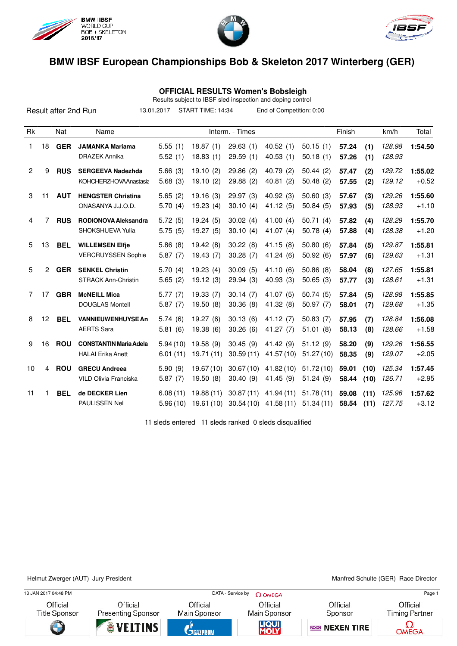





 **OFFICIAL RESULTS Women's Bobsleigh**

Results subject to IBSF sled inspection and doping control

|    |                |            | Result after 2nd Run                                      | 13.01.2017           | START TIME: 14:34      |                        | End of Competition: 0:00 |                        |                |              |                  |                    |
|----|----------------|------------|-----------------------------------------------------------|----------------------|------------------------|------------------------|--------------------------|------------------------|----------------|--------------|------------------|--------------------|
| Rk |                | Nat        | Name                                                      |                      |                        | Interm. - Times        |                          |                        | Finish         |              | km/h             | Total              |
| 1  | 18             | <b>GER</b> | <b>JAMANKA Mariama</b><br><b>DRAZEK Annika</b>            | 5.55(1)<br>5.52(1)   | 18.87(1)<br>18.83(1)   | 29.63(1)<br>29.59(1)   | 40.52(1)<br>40.53(1)     | 50.15(1)<br>50.18(1)   | 57.24<br>57.26 | (1)<br>(1)   | 128.98<br>128.93 | 1:54.50            |
| 2  | 9              | <b>RUS</b> | <b>SERGEEVA Nadezhda</b><br>KOHCHERZHOVAAnastasia         | 5.66(3)<br>5.68(3)   | 19.10(2)<br>19.10(2)   | 29.86(2)<br>29.88 (2)  | 40.79 (2)<br>40.81(2)    | 50.44(2)<br>50.48(2)   | 57.47<br>57.55 | (2)<br>(2)   | 129.72<br>129.12 | 1:55.02<br>$+0.52$ |
| 3  | 11             | <b>AUT</b> | <b>HENGSTER Christina</b><br>ONASANYA J.J.O.D.            | 5.65(2)<br>5.70(4)   | 19.16(3)<br>19.23(4)   | 29.97(3)<br>30.10(4)   | 40.92 (3)<br>41.12(5)    | 50.60(3)<br>50.84(5)   | 57.67<br>57.93 | (3)<br>(5)   | 129.26<br>128.93 | 1:55.60<br>$+1.10$ |
| 4  | 7              | <b>RUS</b> | RODIONOVA Aleksandra<br>SHOKSHUEVA Yulia                  | 5.72(5)<br>5.75(5)   | 19.24(5)<br>19.27(5)   | 30.02(4)<br>30.10(4)   | 41.00(4)<br>41.07 $(4)$  | 50.71(4)<br>50.78(4)   | 57.82<br>57.88 | (4)<br>(4)   | 128.29<br>128.38 | 1:55.70<br>$+1.20$ |
| 5  | 13             | <b>BEL</b> | <b>WILLEMSEN Elfie</b><br><b>VERCRUYSSEN Sophie</b>       | 5.86(8)<br>5.87(7)   | 19.42(8)<br>19.43(7)   | 30.22(8)<br>30.28(7)   | 41.15(8)<br>41.24(6)     | 50.80(6)<br>50.92(6)   | 57.84<br>57.97 | (5)<br>(6)   | 129.87<br>129.63 | 1:55.81<br>$+1.31$ |
| 5  | $\overline{2}$ | <b>GER</b> | <b>SENKEL Christin</b><br><b>STRACK Ann-Christin</b>      | 5.70(4)<br>5.65(2)   | 19.23(4)<br>19.12(3)   | 30.09(5)<br>29.94(3)   | 41.10(6)<br>40.93(3)     | 50.86(8)<br>50.65(3)   | 58.04<br>57.77 | (8)<br>(3)   | 127.65<br>128.61 | 1:55.81<br>$+1.31$ |
| 7  | 17             | <b>GBR</b> | <b>McNEILL Mica</b><br><b>DOUGLAS Montell</b>             | 5.77(7)<br>5.87(7)   | 19.33(7)<br>19.50(8)   | 30.14(7)<br>30.36(8)   | 41.07(5)<br>41.32 (8)    | 50.74(5)<br>50.97(7)   | 57.84<br>58.01 | (5)<br>(7)   | 128.98<br>129.68 | 1:55.85<br>$+1.35$ |
| 8  | 12             | <b>BEL</b> | <b>VANNIEUWENHUYSE An</b><br><b>AERTS Sara</b>            | 5.74(6)<br>5.81(6)   | 19.27(6)<br>19.38(6)   | 30.13(6)<br>30.26(6)   | 41.12(7)<br>41.27 $(7)$  | 50.83(7)<br>51.01(8)   | 57.95<br>58.13 | (7)<br>(8)   | 128.84<br>128.66 | 1:56.08<br>$+1.58$ |
| 9  | 16             | <b>ROU</b> | <b>CONSTANTIN Maria Adela</b><br><b>HALAI</b> Erika Anett | 5.94(10)<br>6.01(11) | 19.58 (9)<br>19.71(11) | 30.45(9)<br>30.59(11)  | 41.42 (9)<br>41.57 (10)  | 51.12(9)<br>51.27(10)  | 58.20<br>58.35 | (9)<br>(9)   | 129.26<br>129.07 | 1:56.55<br>$+2.05$ |
| 10 | 4              | <b>ROU</b> | <b>GRECU Andreea</b><br>VILD Olivia Franciska             | 5.90(9)<br>5.87(7)   | 19.67(10)<br>19.50(8)  | 30.67(10)<br>30.40(9)  | 41.82 (10)<br>41.45(9)   | 51.72(10)<br>51.24(9)  | 59.01<br>58.44 | (10)<br>(10) | 125.34<br>126.71 | 1:57.45<br>$+2.95$ |
| 11 | 1              | <b>BEL</b> | de DECKER Lien<br><b>PAULISSEN Nel</b>                    | 6.08(11)<br>5.96(10) | 19.88(11)<br>19.61(10) | 30.87(11)<br>30.54(10) | 41.94 (11)<br>41.58(11)  | 51.78(11)<br>51.34(11) | 59.08<br>58.54 | (11)<br>(11) | 125.96<br>127.75 | 1:57.62<br>$+3.12$ |

11 sleds entered 11 sleds ranked 0 sleds disqualified

Helmut Zwerger (AUT) Jury President Manited Schulte (GER) Race Director

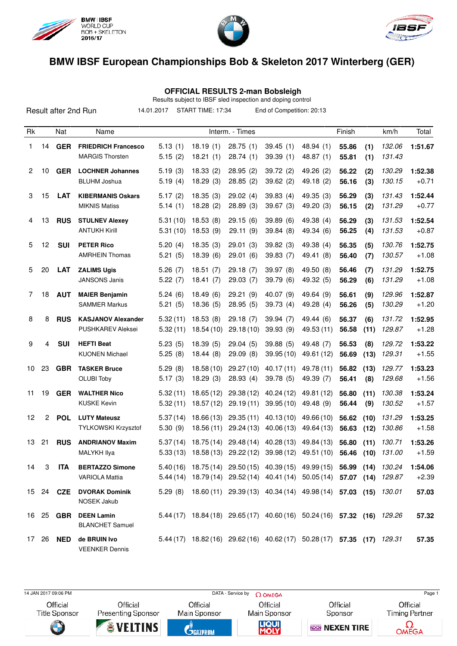

Result after 2nd Run





# **BMW IBSF European Championships Bob & Skeleton 2017 Winterberg (GER)**

 **OFFICIAL RESULTS 2-man Bobsleigh**

|            |                   | Results subject to IBSF sled inspection and doping control |  |
|------------|-------------------|------------------------------------------------------------|--|
| 14.01.2017 | START TIME: 17:34 | End of Competition: 20:13                                  |  |

| Rk |              | Nat              | Name                                                 |                      |                         | Interm. - Times         |                                             |                                                                         | Finish         |              | km/h             | Total              |
|----|--------------|------------------|------------------------------------------------------|----------------------|-------------------------|-------------------------|---------------------------------------------|-------------------------------------------------------------------------|----------------|--------------|------------------|--------------------|
| 1  | 14           | <b>GER</b>       | <b>FRIEDRICH Francesco</b><br><b>MARGIS Thorsten</b> | 5.13(1)<br>5.15(2)   | 18.19(1)<br>18.21(1)    | 28.75(1)<br>28.74(1)    | 39.45(1)<br>39.39(1)                        | 48.94 (1)<br>48.87 (1)                                                  | 55.86<br>55.81 | (1)<br>(1)   | 132.06<br>131.43 | 1:51.67            |
| 2  | 10           | <b>GER</b>       | <b>LOCHNER Johannes</b><br><b>BLUHM Joshua</b>       | 5.19(3)<br>5.19(4)   | 18.33(2)<br>18.29(3)    | 28.95(2)<br>28.85(2)    | 39.72(2)<br>39.62(2)                        | 49.26 (2)<br>49.18 (2)                                                  | 56.22<br>56.16 | (2)<br>(3)   | 130.29<br>130.15 | 1:52.38<br>$+0.71$ |
| 3  | 15           | <b>LAT</b>       | <b>KIBERMANIS Oskars</b><br><b>MIKNIS Matiss</b>     | 5.17(2)<br>5.14(1)   | 18.35(3)<br>18.28(2)    | 29.02(4)<br>28.89(3)    | 39.83(4)<br>39.67(3)                        | 49.35 (3)<br>49.20 (3)                                                  | 56.29<br>56.15 | (3)<br>(2)   | 131.43<br>131.29 | 1:52.44<br>$+0.77$ |
| 4  | 13           | <b>RUS</b>       | <b>STULNEV Alexey</b><br><b>ANTUKH Kirill</b>        | 5.31(10)<br>5.31(10) | 18.53(8)<br>18.53(9)    | 29.15(6)<br>29.11 (9)   | 39.89(6)<br>39.84 (8)                       | 49.38 (4)<br>49.34 (6)                                                  | 56.29<br>56.25 | (3)<br>(4)   | 131.53<br>131.53 | 1:52.54<br>$+0.87$ |
| 5  | 12           | <b>SUI</b>       | <b>PETER Rico</b><br><b>AMRHEIN Thomas</b>           | 5.20(4)<br>5.21(5)   | 18.35(3)<br>18.39(6)    | 29.01(3)<br>29.01(6)    | 39.82(3)<br>39.83(7)                        | 49.38 (4)<br>49.41 (8)                                                  | 56.35<br>56.40 | (5)<br>(7)   | 130.76<br>130.57 | 1:52.75<br>$+1.08$ |
| 5  | 20           | <b>LAT</b>       | <b>ZALIMS Ugis</b><br><b>JANSONS Janis</b>           | 5.26(7)<br>5.22(7)   | 18.51(7)<br>18.41(7)    | 29.18(7)<br>29.03(7)    | 39.97(8)<br>39.79 (6)                       | 49.50 (8)<br>49.32 (5)                                                  | 56.46<br>56.29 | (7)<br>(6)   | 131.29<br>131.29 | 1:52.75<br>$+1.08$ |
| 7  | 18           | <b>AUT</b>       | <b>MAIER Benjamin</b><br><b>SAMMER Markus</b>        | 5.24(6)<br>5.21(5)   | 18.49(6)<br>18.36(5)    | 29.21(9)<br>28.95(5)    | 40.07(9)<br>39.73(4)                        | 49.64 (9)<br>49.28(4)                                                   | 56.61<br>56.26 | (9)<br>(5)   | 129.96<br>130.29 | 1:52.87<br>$+1.20$ |
| 8  | 8            | <b>RUS</b>       | <b>KASJANOV Alexander</b><br>PUSHKAREV Aleksei       | 5.32(11)<br>5.32(11) | 18.53(8)<br>18.54 (10)  | 29.18(7)<br>29.18(10)   | 39.94(7)<br>39.93 (9)                       | 49.44 (6)<br>49.53 (11)                                                 | 56.37<br>56.58 | (6)<br>(11)  | 131.72<br>129.87 | 1:52.95<br>$+1.28$ |
| 9  | 4            | <b>SUI</b>       | <b>HEFTI Beat</b><br><b>KUONEN Michael</b>           | 5.23(5)<br>5.25(8)   | 18.39(5)<br>18.44(8)    | 29.04(5)<br>29.09(8)    | 39.88(5)<br>39.95(10)                       | 49.48 (7)<br>49.61 (12)                                                 | 56.53<br>56.69 | (8)<br>(13)  | 129.72<br>129.31 | 1:53.22<br>$+1.55$ |
| 10 | 23           | <b>GBR</b>       | <b>TASKER Bruce</b><br><b>OLUBI Toby</b>             | 5.29(8)<br>5.17(3)   | 18.58(10)<br>18.29(3)   | 29.27(10)<br>28.93(4)   | 40.17(11)<br>39.78(5)                       | 49.78 (11)<br>49.39 (7)                                                 | 56.82<br>56.41 | (13)<br>(8)  | 129.77<br>129.68 | 1:53.23<br>$+1.56$ |
| 11 | 19           | <b>GER</b>       | <b>WALTHER Nico</b><br><b>KUSKE Kevin</b>            | 5.32(11)<br>5.32(11) | 18.65(12)<br>18.57(12)  | 29.38(12)<br>29.19(11)  | 40.24 (12)<br>39.95(10)                     | 49.81 (12)<br>49.48 (9)                                                 | 56.80<br>56.44 | (11)<br>(9)  | 130.38<br>130.52 | 1:53.24<br>$+1.57$ |
| 12 | $\mathbf{2}$ | <b>POL</b>       | <b>LUTY Mateusz</b><br>TYLKOWSKI Krzysztof           | 5.37(14)<br>5.30(9)  | 18.66 (13)<br>18.56(11) | 29.35(11)<br>29.24 (13) | 40.13(10)<br>40.06(13)                      | 49.66 (10)<br>49.64 (13)                                                | 56.62<br>56.63 | (10)<br>(12) | 131.29<br>130.86 | 1:53.25<br>$+1.58$ |
| 13 | 21           | <b>RUS</b>       | <b>ANDRIANOV Maxim</b><br><b>MALYKH Ilya</b>         | 5.37(14)<br>5.33(13) | 18.75(14)<br>18.58 (13) | 29.48(14)<br>29.22(12)  | 40.28 (13)<br>39.98(12)                     | 49.84 (13)<br>49.51 (10)                                                | 56.80<br>56.46 | (11)<br>(10) | 130.71<br>131.00 | 1:53.26<br>$+1.59$ |
| 14 | 3            | ITA              | <b>BERTAZZO Simone</b><br><b>VARIOLA Mattia</b>      | 5.40(16)             |                         |                         | 18.75 (14) 29.50 (15) 40.39 (15) 49.99 (15) | 5.44 (14) 18.79 (14) 29.52 (14) 40.41 (14) 50.05 (14) 57.07 (14) 129.87 | 56.99          | (14)         | 130.24           | 1:54.06<br>$+2.39$ |
|    |              | 15 24 <b>CZE</b> | <b>DVORAK Dominik</b><br><b>NOSEK Jakub</b>          |                      |                         |                         |                                             | 5.29 (8) 18.60 (11) 29.39 (13) 40.34 (14) 49.98 (14) 57.03 (15) 130.01  |                |              |                  | 57.03              |
|    |              | 16 25 GBR        | <b>DEEN Lamin</b><br><b>BLANCHET Samuel</b>          |                      |                         |                         |                                             | 5.44 (17) 18.84 (18) 29.65 (17) 40.60 (16) 50.24 (16) 57.32 (16) 129.26 |                |              |                  | 57.32              |
|    | 17 26        |                  | NED de BRUIN Ivo<br><b>VEENKER Dennis</b>            |                      |                         |                         |                                             | 5.44 (17) 18.82 (16) 29.62 (16) 40.62 (17) 50.28 (17) 57.35 (17) 129.31 |                |              |                  | 57.35              |

14 JAN 2017 09:06 PM Page 1



Official **Presenting Sponsor** 

Official Main Sponsor

Official

Official Sponsor

Official **Timing Partner**  $\Omega$ OMEGA







**REGIN NEXEN TIRE**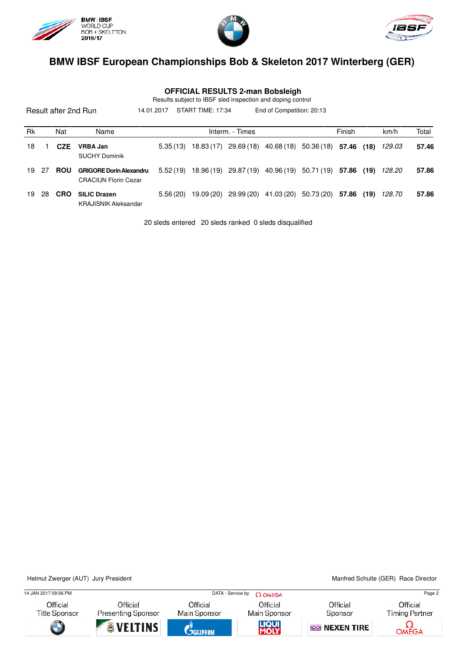

KRAJISNIK Aleksandar





#### **BMW IBSF European Championships Bob & Skeleton 2017 Winterberg (GER)**

 **OFFICIAL RESULTS 2-man Bobsleigh**

Result after 2nd Run Rk Nat Name **Interm.** - Times **Finish km/h Total** Results subject to IBSF sled inspection and doping control 14.01.2017 START TIME: 17:34 End of Competition: 20:13 18 1 **CZE VRBA Jan** 5.35 (13) 18.83 (17) 29.69 (18) 40.68 (18) 50.36 (18) **57.46 (18)** 129.03 **57.46** SUCHY Dominik 19 27 **ROU GRIGORE Dorin Alexandru** 5.52 (19) 18.96 (19) 29.87 (19) 40.96 (19) 50.71 (19) **57.86 (19)** 128.20 **57.86** CRACIUN Florin Cezar 19 28 **CRO SILIC Drazen** 5.56 (20) 19.09 (20) 29.99 (20) 41.03 (20) 50.73 (20) **57.86 (19)** 128.70 **57.86**

20 sleds entered 20 sleds ranked 0 sleds disqualified

Helmut Zwerger (AUT) Jury President Manited Schulte (GER) Race Director

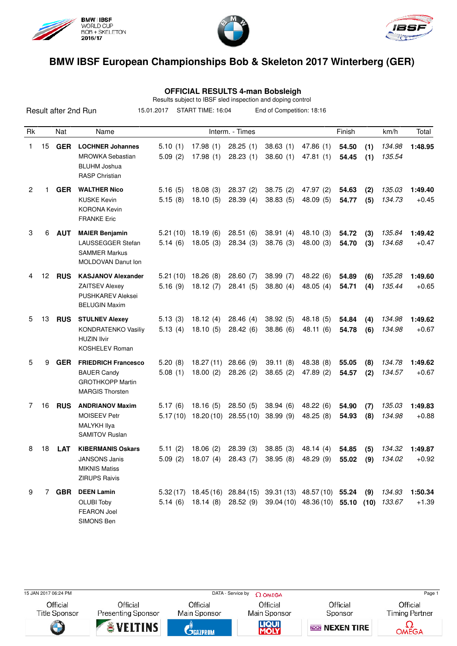





 **OFFICIAL RESULTS 4-man Bobsleigh**

Results subject to IBSF sled inspection and doping control

|                |    |            | Result after 2nd Run                                                                                   | 15.01.2017           | START TIME: 16:04      |                       | End of Competition: 18:16                                   |                                  |                |            |                  |                    |
|----------------|----|------------|--------------------------------------------------------------------------------------------------------|----------------------|------------------------|-----------------------|-------------------------------------------------------------|----------------------------------|----------------|------------|------------------|--------------------|
| Rk             |    | Nat        | Name                                                                                                   |                      |                        | Interm. - Times       |                                                             |                                  | Finish         |            | km/h             | Total              |
| 1              | 15 | <b>GER</b> | <b>LOCHNER Johannes</b><br><b>MROWKA Sebastian</b><br><b>BLUHM Joshua</b><br><b>RASP Christian</b>     | 5.10(1)<br>5.09(2)   | 17.98(1)<br>17.98(1)   | 28.25(1)<br>28.23(1)  | 38.63(1)<br>38.60(1)                                        | 47.86 (1)<br>47.81(1)            | 54.50<br>54.45 | (1)<br>(1) | 134.98<br>135.54 | 1:48.95            |
| $\overline{2}$ | 1  | <b>GER</b> | <b>WALTHER Nico</b><br><b>KUSKE Kevin</b><br><b>KORONA Kevin</b><br><b>FRANKE Eric</b>                 | 5.16(5)<br>5.15(8)   | 18.08(3)<br>18.10(5)   | 28.37(2)<br>28.39(4)  | 38.75(2)<br>38.83(5)                                        | 47.97 (2)<br>48.09(5)            | 54.63<br>54.77 | (2)<br>(5) | 135.03<br>134.73 | 1:49.40<br>$+0.45$ |
| 3              | 6  | <b>AUT</b> | <b>MAIER Benjamin</b><br>LAUSSEGGER Stefan<br><b>SAMMER Markus</b><br><b>MOLDOVAN Danut Ion</b>        | 5.21(10)<br>5.14(6)  | 18.19(6)<br>18.05(3)   | 28.51(6)<br>28.34(3)  | 38.91(4)<br>38.76 (3)                                       | 48.10(3)<br>48.00 (3)            | 54.72<br>54.70 | (3)<br>(3) | 135.84<br>134.68 | 1:49.42<br>$+0.47$ |
| 4              | 12 | <b>RUS</b> | <b>KASJANOV Alexander</b><br><b>ZAITSEV Alexey</b><br><b>PUSHKAREV Aleksei</b><br><b>BELUGIN Maxim</b> | 5.21(10)<br>5.16(9)  | 18.26(8)<br>18.12(7)   | 28.60(7)<br>28.41(5)  | 38.99(7)<br>38.80(4)                                        | 48.22 (6)<br>48.05(4)            | 54.89<br>54.71 | (6)<br>(4) | 135.28<br>135.44 | 1:49.60<br>$+0.65$ |
| 5              | 13 | <b>RUS</b> | <b>STULNEV Alexey</b><br><b>KONDRATENKO Vasiliy</b><br><b>HUZIN Ilvir</b><br><b>KOSHELEV Roman</b>     | 5.13(3)<br>5.13(4)   | 18.12(4)<br>18.10(5)   | 28.46(4)<br>28.42(6)  | 38.92(5)<br>38.86(6)                                        | 48.18 (5)<br>48.11 (6)           | 54.84<br>54.78 | (4)<br>(6) | 134.98<br>134.98 | 1:49.62<br>$+0.67$ |
| 5              | 9  | <b>GER</b> | <b>FRIEDRICH Francesco</b><br><b>BAUER Candy</b><br><b>GROTHKOPP Martin</b><br><b>MARGIS Thorsten</b>  | 5.20(8)<br>5.08(1)   | 18.27 (11)<br>18.00(2) | 28.66(9)<br>28.26(2)  | 39.11(8)<br>38.65(2)                                        | 48.38 (8)<br>47.89 (2)           | 55.05<br>54.57 | (8)<br>(2) | 134.78<br>134.57 | 1:49.62<br>$+0.67$ |
| 7              | 16 | <b>RUS</b> | <b>ANDRIANOV Maxim</b><br><b>MOISEEV Petr</b><br><b>MALYKH Ilya</b><br><b>SAMITOV Ruslan</b>           | 5.17(6)<br>5.17 (10) | 18.16(5)<br>18.20 (10) | 28.50(5)<br>28.55(10) | 38.94(6)<br>38.99(9)                                        | 48.22 (6)<br>48.25(8)            | 54.90<br>54.93 | (7)<br>(8) | 135.03<br>134.98 | 1:49.83<br>$+0.88$ |
| 8              | 18 | <b>LAT</b> | <b>KIBERMANIS Oskars</b><br><b>JANSONS Janis</b><br><b>MIKNIS Matiss</b><br><b>ZIRUPS Raivis</b>       | 5.11(2)<br>5.09(2)   | 18.06(2)               | 28.39(3)              | 38.85(3)<br>18.07 (4) 28.43 (7) 38.95 (8) 48.29 (9)         | 48.14(4)                         | 54.85<br>55.02 | (5)<br>(9) | 134.32<br>134.02 | 1:49.87<br>$+0.92$ |
| 9              |    |            | 7 GBR DEEN Lamin<br><b>OLUBI Toby</b><br><b>FEARON Joel</b><br>SIMONS Ben                              | 5.14(6)              |                        | 18.14 (8) 28.52 (9)   | 5.32 (17) 18.45 (16) 28.84 (15) 39.31 (13) 48.57 (10) 55.24 | 39.04 (10) 48.36 (10) 55.10 (10) |                | (9)        | 134.93<br>133.67 | 1:50.34<br>$+1.39$ |

15 JAN 2017 06:24 PM Page 1

Official

**Title Sponsor** Ŧ

Official **Presenting Sponsor VELTINS** 

Official Main Sponsor

**C**GRZPROM

Official Main Sponsor

LIQUI

Official Sponsor

**REGIN NEXEN TIRE** 

Official **Timing Partner**  $\Omega$ OMEGA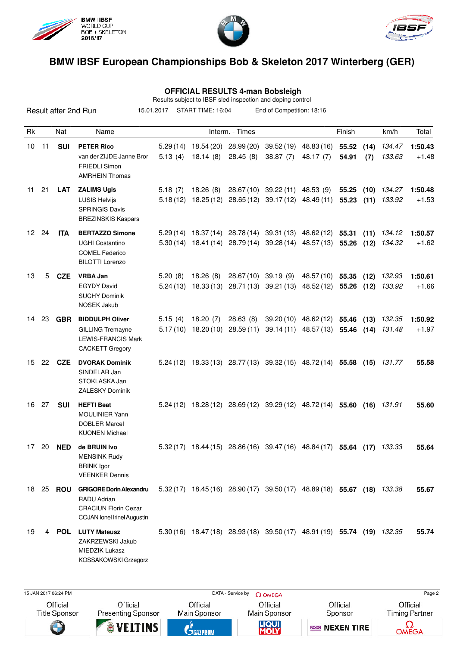





 **OFFICIAL RESULTS 4-man Bobsleigh**

Results subject to IBSF sled inspection and doping control

|                  | novemb sapport to noon sidd inspection and doping control<br>START TIME: 16:04<br>Result after 2nd Run<br>15.01.2017<br>End of Competition: 18:16 |               |                                                                                                                    |                     |           |                                                                                                                                 |                                     |                                                                        |                     |              |                  |                    |
|------------------|---------------------------------------------------------------------------------------------------------------------------------------------------|---------------|--------------------------------------------------------------------------------------------------------------------|---------------------|-----------|---------------------------------------------------------------------------------------------------------------------------------|-------------------------------------|------------------------------------------------------------------------|---------------------|--------------|------------------|--------------------|
| Rk               |                                                                                                                                                   | Nat           | Name                                                                                                               |                     |           | Interm. - Times                                                                                                                 |                                     |                                                                        | Finish              |              | km/h             | Total              |
| 10               | 11                                                                                                                                                | <b>SUI</b>    | <b>PETER Rico</b><br>van der ZIJDE Janne Bror<br><b>FRIEDLI Simon</b><br><b>AMRHEIN Thomas</b>                     | 5.29(14)<br>5.13(4) | 18.14(8)  | 18.54 (20) 28.99 (20)<br>28.45(8)                                                                                               | 38.87(7)                            | 39.52 (19) 48.83 (16)<br>48.17(7)                                      | 55.52 (14)<br>54.91 | (7)          | 134.47<br>133.63 | 1:50.43<br>$+1.48$ |
| 11               | 21                                                                                                                                                | <b>LAT</b>    | <b>ZALIMS Ugis</b><br><b>LUSIS Helvijs</b><br><b>SPRINGIS Davis</b><br><b>BREZINSKIS Kaspars</b>                   | 5.18(7)             | 18.26(8)  | $5.18(12)$ 18.25 (12) 28.65 (12) 39.17 (12) 48.49 (11)                                                                          | 28.67(10) 39.22(11) 48.53(9)        |                                                                        | 55.25<br>55.23      | (10)<br>(11) | 134.27<br>133.92 | 1:50.48<br>$+1.53$ |
| 12 <sup>12</sup> | 24                                                                                                                                                | <b>ITA</b>    | <b>BERTAZZO Simone</b><br><b>UGHI Costantino</b><br><b>COMEL Federico</b><br><b>BILOTTI Lorenzo</b>                |                     |           | 5.29 (14) 18.37 (14) 28.78 (14) 39.31 (13) 48.62 (12) 55.31<br>5.30 (14) 18.41 (14) 28.79 (14) 39.28 (14) 48.57 (13) 55.26 (12) |                                     |                                                                        |                     | (11)         | 134.12<br>134.32 | 1:50.57<br>$+1.62$ |
| 13               | 5                                                                                                                                                 | <b>CZE</b>    | <b>VRBA Jan</b><br><b>EGYDY David</b><br><b>SUCHY Dominik</b><br>NOSEK Jakub                                       | 5.20(8)<br>5.24(13) | 18.26 (8) | 18.33 (13) 28.71 (13) 39.21 (13) 48.52 (12)                                                                                     | 28.67(10) 39.19 (9) 48.57(10) 55.35 |                                                                        | 55.26 (12)          | (12)         | 132.93<br>133.92 | 1:50.61<br>$+1.66$ |
| 14               | 23                                                                                                                                                | <b>GBR</b>    | <b>BIDDULPH Oliver</b><br><b>GILLING Tremayne</b><br><b>LEWIS-FRANCIS Mark</b><br><b>CACKETT Gregory</b>           | 5.15(4)<br>5.17(10) | 18.20(7)  | 28.63(8)<br>$18.20(10)$ 28.59 (11)                                                                                              |                                     | 39.20 (10) 48.62 (12) 55.46<br>39.14 (11) 48.57 (13) 55.46 (14) 131.48 |                     | (13)         | 132.35           | 1:50.92<br>$+1.97$ |
| 15               | 22                                                                                                                                                | CZE           | <b>DVORAK Dominik</b><br>SINDELAR Jan<br>STOKLASKA Jan<br>ZALESKY Dominik                                          |                     |           | 5.24 (12) 18.33 (13) 28.77 (13) 39.32 (15) 48.72 (14) 55.58 (15) 131.77                                                         |                                     |                                                                        |                     |              |                  | 55.58              |
| 16               | 27                                                                                                                                                | <b>SUI</b>    | <b>HEFTI Beat</b><br><b>MOULINIER Yann</b><br><b>DOBLER Marcel</b><br><b>KUONEN Michael</b>                        |                     |           | 5.24 (12) 18.28 (12) 28.69 (12) 39.29 (12) 48.72 (14) 55.60 (16)                                                                |                                     |                                                                        |                     |              | 131.91           | 55.60              |
| 17 <sup>7</sup>  |                                                                                                                                                   | 20 <b>NED</b> | de BRUIN Ivo<br><b>MENSINK Rudy</b><br><b>BRINK</b> Igor<br><b>VEENKER Dennis</b>                                  |                     |           | 5.32 (17) 18.44 (15) 28.86 (16) 39.47 (16) 48.84 (17) 55.64 (17) 133.33                                                         |                                     |                                                                        |                     |              |                  | 55.64              |
| 18               | 25                                                                                                                                                | ROU           | <b>GRIGORE Dorin Alexandru</b><br>RADU Adrian<br><b>CRACIUN Florin Cezar</b><br><b>COJAN</b> lonel Irinel Augustin |                     |           | 5.32 (17) 18.45 (16) 28.90 (17) 39.50 (17) 48.89 (18) 55.67 (18) 133.38                                                         |                                     |                                                                        |                     |              |                  | 55.67              |
| 19               | 4                                                                                                                                                 | POL           | <b>LUTY Mateusz</b><br>ZAKRZEWSKI Jakub<br><b>MIEDZIK Lukasz</b><br>KOSSAKOWSKI Grzegorz                           |                     |           | 5.30 (16) 18.47 (18) 28.93 (18) 39.50 (17) 48.91 (19) 55.74 (19) 132.35                                                         |                                     |                                                                        |                     |              |                  | 55.74              |

15 JAN 2017 06:24 PM Page 2 Official

**Title Sponsor** Ŧ

Official **Presenting Sponsor VELTINS** 

Official Main Sponsor **C**GRZPROM

Official Main Sponsor

LIQUI

Official Sponsor

**REGIN NEXEN TIRE** 

Official **Timing Partner** 

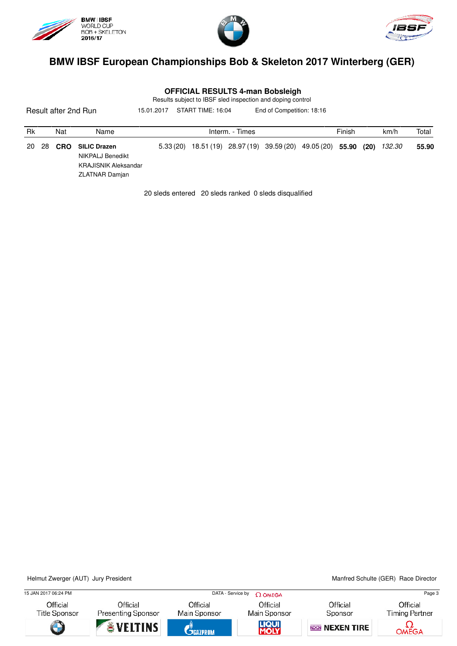





| <b>OFFICIAL RESULTS 4-man Bobsleigh</b> |  |
|-----------------------------------------|--|
|-----------------------------------------|--|

Results subject to IBSF sled inspection and doping control

Result after 2nd Run Rk Nat Name **Interm.** - Times **Finish km/h Total** 15.01.2017 START TIME: 16:04 End of Competition: 18:16 20 28 **CRO SILIC Drazen** 5.33 (20) 18.51 (19) 28.97 (19) 39.59 (20) 49.05 (20) **55.90 (20)** 132.30 **55.90** NIKPALJ Benedikt KRAJISNIK Aleksandar ZLATNAR Damjan

20 sleds entered 20 sleds ranked 0 sleds disqualified

Helmut Zwerger (AUT) Jury President Manited Schulte (GER) Race Director